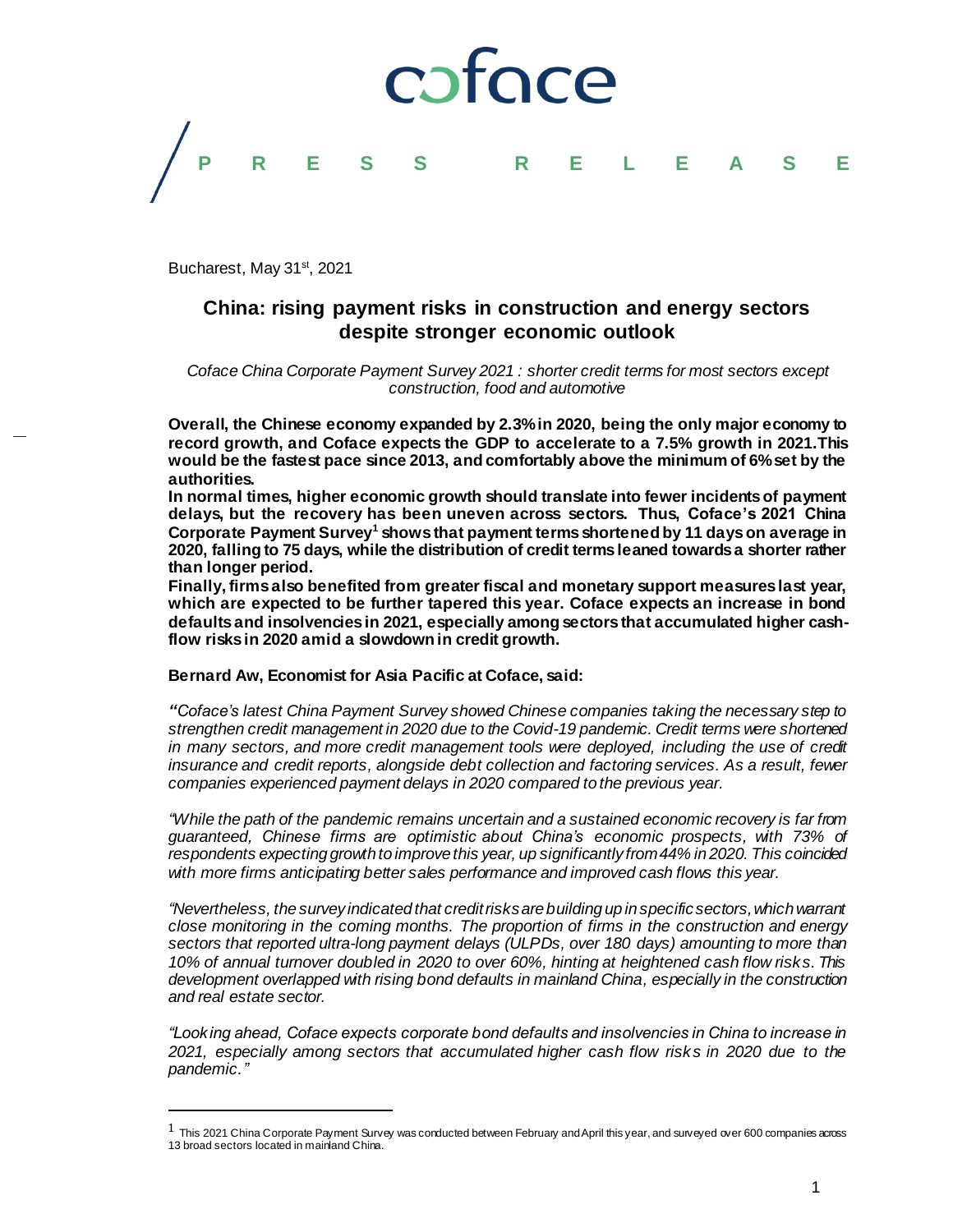

Bucharest, May 31<sup>st</sup>, 2021

 $\overline{a}$ 

# **China: rising payment risks in construction and energy sectors despite stronger economic outlook**

*Coface China Corporate Payment Survey 2021 : shorter credit terms for most sectors except construction, food and automotive*

**Overall, the Chinese economy expanded by 2.3% in 2020, being the only major economy to record growth, and Coface expects the GDP to accelerate to a 7.5% growth in 2021.This would be the fastest pace since 2013, and comfortably above the minimum of 6% set by the authorities.**

**In normal times, higher economic growth should translate into fewer incidents of payment delays, but the recovery has been uneven across sectors. Thus, Coface's 2021 China Corporate Payment Survey<sup>1</sup> shows that payment terms shortened by 11 days on average in 2020, falling to 75 days, while the distribution of credit terms leaned towards a shorter rather than longer period.**

**Finally, firms also benefited from greater fiscal and monetary support measures last year, which are expected to be further tapered this year. Coface expects an increase in bond defaults and insolvencies in 2021, especially among sectors that accumulated higher cashflow risks in 2020 amid a slowdown in credit growth.**

# **Bernard Aw, Economist for Asia Pacific at Coface, said:**

*"Coface's latest China Payment Survey showed Chinese companies taking the necessary step to strengthen credit management in 2020 due to the Covid-19 pandemic. Credit terms were shortened in many sectors, and more credit management tools were deployed, including the use of credit insurance and credit reports, alongside debt collection and factoring services. As a result, fewer companies experienced payment delays in 2020 compared to the previous year.*

*"While the path of the pandemic remains uncertain and a sustained economic recovery is far from guaranteed, Chinese firms are optimistic about China's economic prospects, with 73% of respondents expecting growth to improve this year, up significantly from 44% in 2020. This coincided with more firms anticipating better sales performance and improved cash flows this year.* 

*"Nevertheless, the survey indicated that credit risks are building up in specific sectors, which warrant close monitoring in the coming months. The proportion of firms in the construction and energy sectors that reported ultra-long payment delays (ULPDs, over 180 days) amounting to more than 10% of annual turnover doubled in 2020 to over 60%, hinting at heightened cash flow risks. This*  development overlapped with rising bond defaults in mainland China, especially in the construction *and real estate sector.*

*"Looking ahead, Coface expects corporate bond defaults and insolvencies in China to increase in 2021, especially among sectors that accumulated higher cash flow risks in 2020 due to the pandemic."*

 $^1$  This 2021 China Corporate Payment Survey was conducted between February and April this year, and surveyed over 600 companies across 13 broad sectors located in mainland China.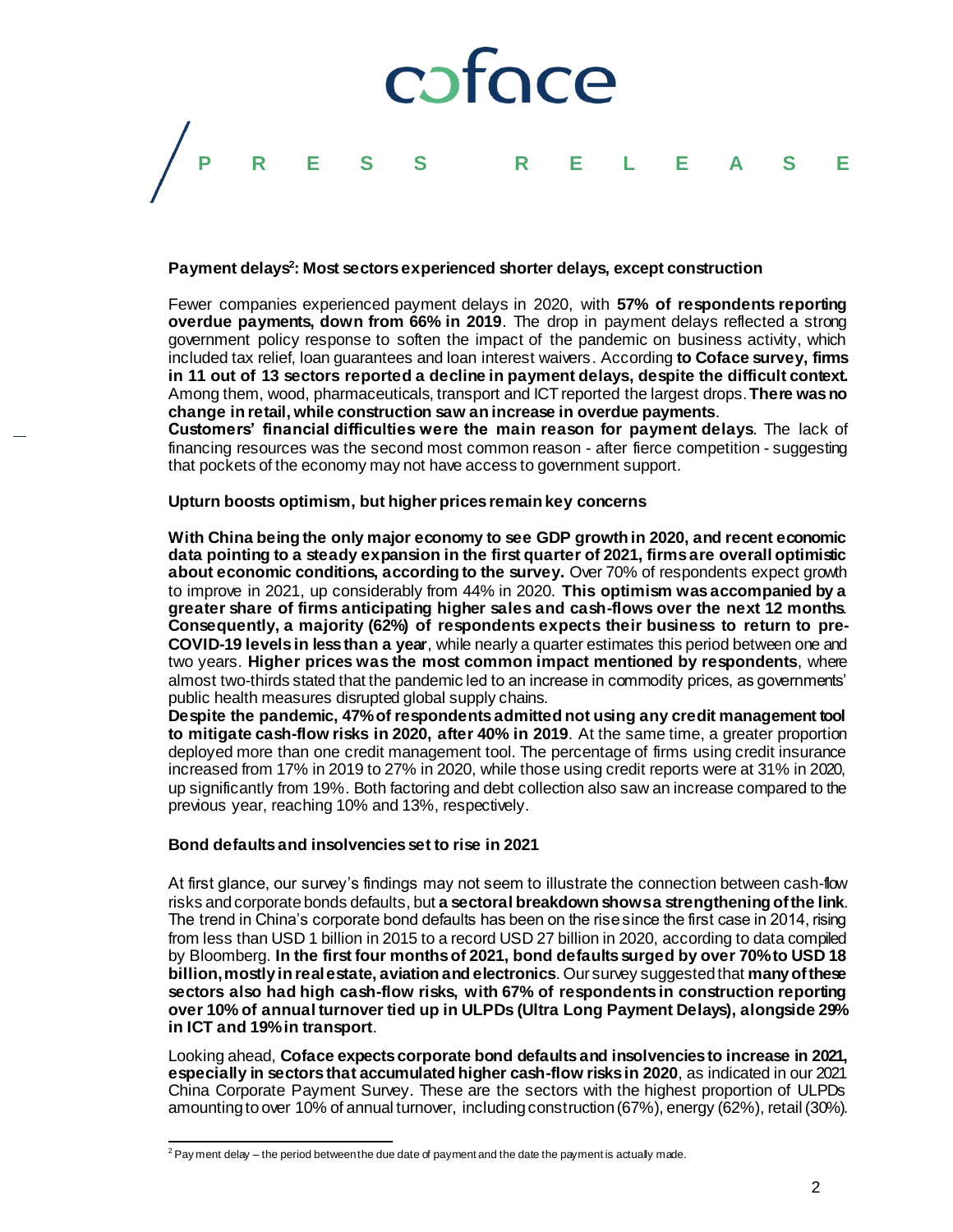

# **Payment delays<sup>2</sup> : Most sectors experienced shorter delays, except construction**

Fewer companies experienced payment delays in 2020, with **57% of respondents reporting overdue payments, down from 66% in 2019**. The drop in payment delays reflected a strong government policy response to soften the impact of the pandemic on business activity, which included tax relief, loan guarantees and loan interest waivers. According **to Coface survey, firms in 11 out of 13 sectors reported a decline in payment delays, despite the difficult context.**  Among them, wood, pharmaceuticals, transport and ICT reported the largest drops.**There was no change in retail, while construction saw an increase in overdue payments**.

**Customers' financial difficulties were the main reason for payment delays**. The lack of financing resources was the second most common reason - after fierce competition - suggesting that pockets of the economy may not have access to government support.

#### **Upturn boosts optimism, but higher prices remain key concerns**

**With China being the only major economy to see GDP growth in 2020, and recent economic data pointing to a steady expansion in the first quarter of 2021, firms are overall optimistic about economic conditions, according to the survey.** Over 70% of respondents expect growth to improve in 2021, up considerably from 44% in 2020. **This optimism was accompanied by a greater share of firms anticipating higher sales and cash-flows over the next 12 months**. **Consequently, a majority (62%) of respondents expects their business to return to pre-COVID-19 levels in less than a year**, while nearly a quarter estimates this period between one and two years. **Higher prices was the most common impact mentioned by respondents**, where almost two-thirds stated that the pandemic led to an increase in commodity prices, as governments' public health measures disrupted global supply chains.

**Despite the pandemic, 47% of respondents admitted not using any credit management tool to mitigate cash-flow risks in 2020, after 40% in 2019**. At the same time, a greater proportion deployed more than one credit management tool. The percentage of firms using credit insurance increased from 17% in 2019 to 27% in 2020, while those using credit reports were at 31% in 2020, up significantly from 19%. Both factoring and debt collection also saw an increase compared to the previous year, reaching 10% and 13%, respectively.

# **Bond defaults and insolvencies set to rise in 2021**

At first glance, our survey's findings may not seem to illustrate the connection between cash-flow risks and corporate bonds defaults, but **a sectoral breakdown shows a strengthening of the link**. The trend in China's corporate bond defaults has been on the rise since the first case in 2014, rising from less than USD 1 billion in 2015 to a record USD 27 billion in 2020, according to data compiled by Bloomberg. **In the first four months of 2021, bond defaults surged by over 70% to USD 18 billion, mostly in real estate, aviation and electronics**. Our survey suggested that **many of these sectors also had high cash-flow risks, with 67% of respondents in construction reporting over 10% of annual turnover tied up in ULPDs (Ultra Long Payment Delays), alongside 29% in ICT and 19% in transport**.

Looking ahead, **Coface expects corporate bond defaults and insolvencies to increase in 2021, especially in sectors that accumulated higher cash-flow risks in 2020**, as indicated in our 2021 China Corporate Payment Survey. These are the sectors with the highest proportion of ULPDs amounting to over 10% of annual turnover, including construction (67%), energy (62%), retail (30%).

 $^2$  Pay ment delay – the period between the due date of payment and the date the payment is actually made.